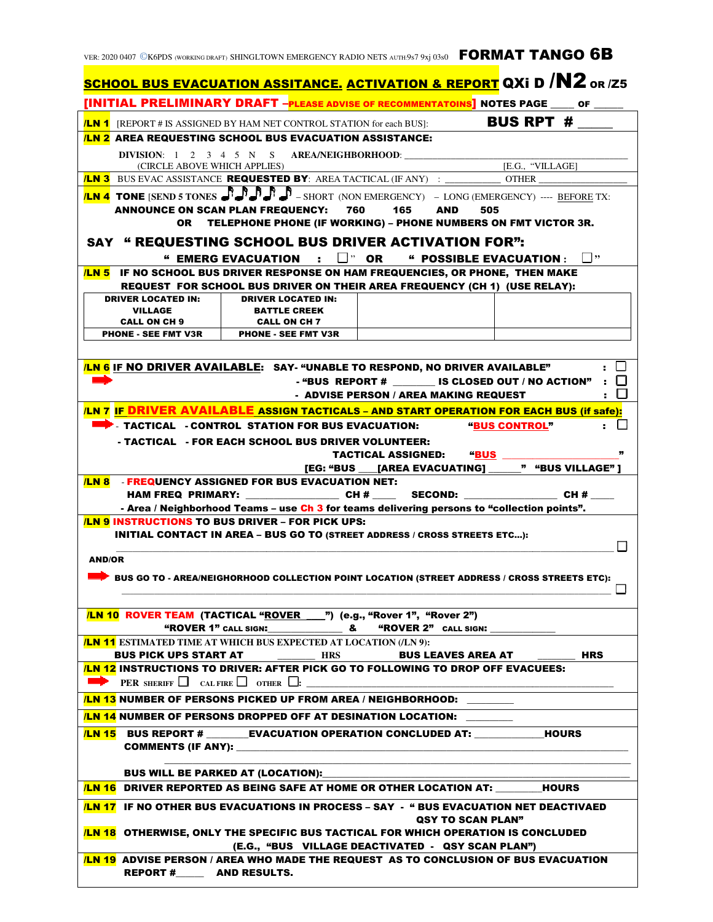## ver: 2020 0407 ©K6PDS (working draft) SHINGLTOWN EMERGENCY RADIO NETS auth:9s7 9xj 03s0 FORMAT TANGO 6B

| <b><u>SCHOOL BUS EVACUATION ASSITANCE. ACTIVATION &amp; REPORT</u> QXi D /N2</b> or /z5                                                                                                |                                                                                                         |  |                  |
|----------------------------------------------------------------------------------------------------------------------------------------------------------------------------------------|---------------------------------------------------------------------------------------------------------|--|------------------|
| [INITIAL PRELIMINARY DRAFT - PLEASE ADVISE OF RECOMMENTATOINS] NOTES PAGE ____ OF ____                                                                                                 |                                                                                                         |  |                  |
|                                                                                                                                                                                        | <b>ILN 1</b> [REPORT # IS ASSIGNED BY HAM NET CONTROL STATION for each BUS]:                            |  | BUS RPT #        |
| <b>ILN 2 AREA REQUESTING SCHOOL BUS EVACUATION ASSISTANCE:</b>                                                                                                                         |                                                                                                         |  |                  |
| <b>DIVISION:</b> 1 2 3 4 5 N S                                                                                                                                                         |                                                                                                         |  |                  |
| (CIRCLE ABOVE WHICH APPLIES)                                                                                                                                                           | <b>/LN 3</b> BUS EVAC ASSISTANCE <b>REQUESTED BY</b> : AREA TACTICAL (IF ANY) : _____________ OTHER ___ |  | [E.G., "VILLAGE] |
|                                                                                                                                                                                        |                                                                                                         |  |                  |
| <b>LN 4 TONE (SEND 5 TONES AND A PUBLIC A</b> - SHORT (NON EMERGENCY) - LONG (EMERGENCY) ---- BEFORE TX:<br>165<br>760<br><b>AND</b><br>505<br><b>ANNOUNCE ON SCAN PLAN FREQUENCY:</b> |                                                                                                         |  |                  |
| TELEPHONE PHONE (IF WORKING) - PHONE NUMBERS ON FMT VICTOR 3R.<br>OR                                                                                                                   |                                                                                                         |  |                  |
| <b>SAY " REQUESTING SCHOOL BUS DRIVER ACTIVATION FOR":</b>                                                                                                                             |                                                                                                         |  |                  |
| " EMERG EVACUATION $\; : \; \Box$ " OR " POSSIBLE EVACUATION : $\; \Box$ "                                                                                                             |                                                                                                         |  |                  |
| IF NO SCHOOL BUS DRIVER RESPONSE ON HAM FREQUENCIES, OR PHONE, THEN MAKE<br>/LN 5                                                                                                      |                                                                                                         |  |                  |
|                                                                                                                                                                                        | REQUEST FOR SCHOOL BUS DRIVER ON THEIR AREA FREQUENCY (CH 1) (USE RELAY):                               |  |                  |
| <b>DRIVER LOCATED IN:</b>                                                                                                                                                              | <b>DRIVER LOCATED IN:</b>                                                                               |  |                  |
| <b>VILLAGE</b><br><b>CALL ON CH 9</b>                                                                                                                                                  | <b>BATTLE CREEK</b><br><b>CALL ON CH 7</b>                                                              |  |                  |
| <b>PHONE - SEE FMT V3R</b>                                                                                                                                                             | <b>PHONE - SEE FMT V3R</b>                                                                              |  |                  |
|                                                                                                                                                                                        |                                                                                                         |  |                  |
| $\cdot$ $\Box$<br><b>LN 6</b> IF NO DRIVER AVAILABLE: SAY- "UNABLE TO RESPOND, NO DRIVER AVAILABLE"                                                                                    |                                                                                                         |  |                  |
| - "BUS REPORT # $\qquad$ IS CLOSED OUT / NO ACTION" : $\Box$                                                                                                                           |                                                                                                         |  |                  |
| . 11<br>- ADVISE PERSON / AREA MAKING REQUEST                                                                                                                                          |                                                                                                         |  |                  |
|                                                                                                                                                                                        | /LN 7 IF DRIVER AVAILABLE ASSIGN TACTICALS - AND START OPERATION FOR EACH BUS (if safe):                |  |                  |
| TACTICAL - CONTROL STATION FOR BUS EVACUATION:<br>"BUS CONTROL"                                                                                                                        |                                                                                                         |  |                  |
| - TACTICAL    FOR EACH SCHOOL BUS DRIVER VOLUNTEER:                                                                                                                                    |                                                                                                         |  |                  |
| ,,<br><b>"BUS</b><br>TACTICAL ASSIGNED:<br>" "BUS VILLAGE" 1                                                                                                                           |                                                                                                         |  |                  |
| [EG: "BUS [AREA EVACUATING]<br><b>/LN 8 - FREQUENCY ASSIGNED FOR BUS EVACUATION NET:</b>                                                                                               |                                                                                                         |  |                  |
|                                                                                                                                                                                        | HAM FREQ PRIMARY: _____________________CH # _________ SECOND: ___________________CH # _____             |  |                  |
|                                                                                                                                                                                        | - Area / Neighborhood Teams - use Ch 3 for teams delivering persons to "collection points".             |  |                  |
| <b>LN 9 INSTRUCTIONS TO BUS DRIVER – FOR PICK UPS:</b>                                                                                                                                 |                                                                                                         |  |                  |
| <b>INITIAL CONTACT IN AREA - BUS GO TO (STREET ADDRESS / CROSS STREETS ETC):</b>                                                                                                       |                                                                                                         |  |                  |
| <b>AND/OR</b>                                                                                                                                                                          |                                                                                                         |  |                  |
| BUS GO TO - AREA/NEIGHORHOOD COLLECTION POINT LOCATION (STREET ADDRESS / CROSS STREETS ETC):                                                                                           |                                                                                                         |  |                  |
|                                                                                                                                                                                        |                                                                                                         |  |                  |
|                                                                                                                                                                                        |                                                                                                         |  |                  |
| /LN 10 ROVER TEAM (TACTICAL "ROVER 1") (e.g., "Rover 1", "Rover 2")                                                                                                                    |                                                                                                         |  |                  |
|                                                                                                                                                                                        | <b>LN 11 ESTIMATED TIME AT WHICH BUS EXPECTED AT LOCATION (/LN 9):</b>                                  |  |                  |
|                                                                                                                                                                                        | BUS PICK UPS START AT __________ HRS ________ BUS LEAVES AREA AT ______                                 |  | HRS              |
|                                                                                                                                                                                        | <b>LN 12 INSTRUCTIONS TO DRIVER: AFTER PICK GO TO FOLLOWING TO DROP OFF EVACUEES:</b>                   |  |                  |
| <b>PER SHERIFF</b> $\Box$ CAL FIRE $\Box$ OTHER $\Box$ :                                                                                                                               |                                                                                                         |  |                  |
| <b>LN 13 NUMBER OF PERSONS PICKED UP FROM AREA / NEIGHBORHOOD:</b>                                                                                                                     |                                                                                                         |  |                  |
| <b>LN 14 NUMBER OF PERSONS DROPPED OFF AT DESINATION LOCATION:</b>                                                                                                                     |                                                                                                         |  |                  |
| <b>ILN 15</b> BUS REPORT # ________EVACUATION OPERATION CONCLUDED AT: _____________HOURS                                                                                               |                                                                                                         |  |                  |
| <b>COMMENTS (IF ANY):</b>                                                                                                                                                              |                                                                                                         |  |                  |
|                                                                                                                                                                                        |                                                                                                         |  |                  |
| <b>BUS WILL BE PARKED AT (LOCATION):</b><br><b>ILN 16 DRIVER REPORTED AS BEING SAFE AT HOME OR OTHER LOCATION AT: HOURS</b>                                                            |                                                                                                         |  |                  |
| <b>LN 17 IF NO OTHER BUS EVACUATIONS IN PROCESS – SAY - " BUS EVACUATION NET DEACTIVAED</b>                                                                                            |                                                                                                         |  |                  |
| QSY TO SCAN PLAN"<br><b>LN 18 OTHERWISE, ONLY THE SPECIFIC BUS TACTICAL FOR WHICH OPERATION IS CONCLUDED</b>                                                                           |                                                                                                         |  |                  |
| (E.G., "BUS VILLAGE DEACTIVATED - QSY SCAN PLAN")<br><b>ILN 19 ADVISE PERSON / AREA WHO MADE THE REQUEST AS TO CONCLUSION OF BUS EVACUATION</b>                                        |                                                                                                         |  |                  |
| REPORT #__________ AND RESULTS.                                                                                                                                                        |                                                                                                         |  |                  |